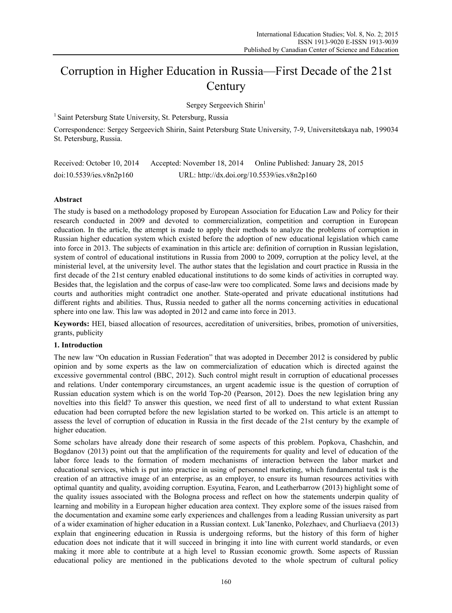# Corruption in Higher Education in Russia—First Decade of the 21st **Century**

Sergey Sergeevich Shirin<sup>1</sup>

<sup>1</sup> Saint Petersburg State University, St. Petersburg, Russia

Correspondence: Sergey Sergeevich Shirin, Saint Petersburg State University, 7-9, Universitetskaya nab, 199034 St. Petersburg, Russia.

| Received: October 10, 2014 | Accepted: November 18, 2014                 | Online Published: January 28, 2015 |
|----------------------------|---------------------------------------------|------------------------------------|
| doi:10.5539/ies.v8n2p160   | URL: http://dx.doi.org/10.5539/ies.v8n2p160 |                                    |

## **Abstract**

The study is based on a methodology proposed by European Association for Education Law and Policy for their research conducted in 2009 and devoted to commercialization, competition and corruption in European education. In the article, the attempt is made to apply their methods to analyze the problems of corruption in Russian higher education system which existed before the adoption of new educational legislation which came into force in 2013. The subjects of examination in this article are: definition of corruption in Russian legislation, system of control of educational institutions in Russia from 2000 to 2009, corruption at the policy level, at the ministerial level, at the university level. The author states that the legislation and court practice in Russia in the first decade of the 21st century enabled educational institutions to do some kinds of activities in corrupted way. Besides that, the legislation and the corpus of case-law were too complicated. Some laws and decisions made by courts and authorities might contradict one another. State-operated and private educational institutions had different rights and abilities. Thus, Russia needed to gather all the norms concerning activities in educational sphere into one law. This law was adopted in 2012 and came into force in 2013.

**Keywords:** HEI, biased allocation of resources, accreditation of universities, bribes, promotion of universities, grants, publicity

### **1. Introduction**

The new law "On education in Russian Federation" that was adopted in December 2012 is considered by public opinion and by some experts as the law on commercialization of education which is directed against the excessive governmental control (BBC, 2012). Such control might result in corruption of educational processes and relations. Under contemporary circumstances, an urgent academic issue is the question of corruption of Russian education system which is on the world Top-20 (Pearson, 2012). Does the new legislation bring any novelties into this field? To answer this question, we need first of all to understand to what extent Russian education had been corrupted before the new legislation started to be worked on. This article is an attempt to assess the level of corruption of education in Russia in the first decade of the 21st century by the example of higher education.

Some scholars have already done their research of some aspects of this problem. Popkova, Chashchin, and Bogdanov (2013) point out that the amplification of the requirements for quality and level of education of the labor force leads to the formation of modern mechanisms of interaction between the labor market and educational services, which is put into practice in using of personnel marketing, which fundamental task is the creation of an attractive image of an enterprise, as an employer, to ensure its human resources activities with optimal quantity and quality, avoiding corruption. Esyutina, Fearon, and Leatherbarrow (2013) highlight some of the quality issues associated with the Bologna process and reflect on how the statements underpin quality of learning and mobility in a European higher education area context. They explore some of the issues raised from the documentation and examine some early experiences and challenges from a leading Russian university as part of a wider examination of higher education in a Russian context. Luk'Ianenko, Polezhaev, and Churliaeva (2013) explain that engineering education in Russia is undergoing reforms, but the history of this form of higher education does not indicate that it will succeed in bringing it into line with current world standards, or even making it more able to contribute at a high level to Russian economic growth. Some aspects of Russian educational policy are mentioned in the publications devoted to the whole spectrum of cultural policy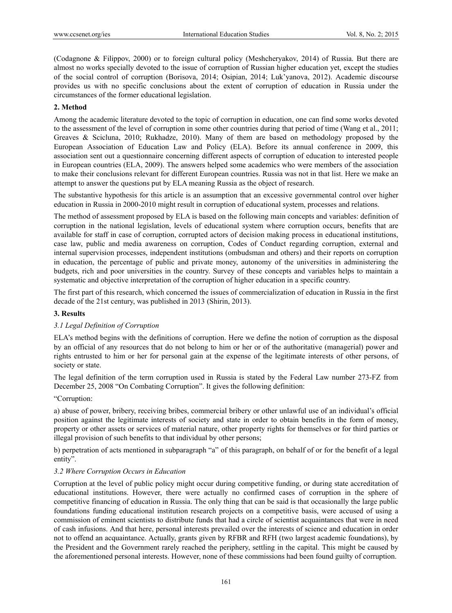(Codagnone & Filippov, 2000) or to foreign cultural policy (Meshcheryakov, 2014) of Russia. But there are almost no works specially devoted to the issue of corruption of Russian higher education yet, except the studies of the social control of corruption (Borisova, 2014; Osipian, 2014; Luk'yanova, 2012). Academic discourse provides us with no specific conclusions about the extent of corruption of education in Russia under the circumstances of the former educational legislation.

## **2. Method**

Among the academic literature devoted to the topic of corruption in education, one can find some works devoted to the assessment of the level of corruption in some other countries during that period of time (Wang et al., 2011; Greaves & Scicluna, 2010; Rukhadze, 2010). Many of them are based on methodology proposed by the European Association of Education Law and Policy (ELA). Before its annual conference in 2009, this association sent out a questionnaire concerning different aspects of corruption of education to interested people in European countries (ELA, 2009). The answers helped some academics who were members of the association to make their conclusions relevant for different European countries. Russia was not in that list. Here we make an attempt to answer the questions put by ELA meaning Russia as the object of research.

The substantive hypothesis for this article is an assumption that an excessive governmental control over higher education in Russia in 2000-2010 might result in corruption of educational system, processes and relations.

The method of assessment proposed by ELA is based on the following main concepts and variables: definition of corruption in the national legislation, levels of educational system where corruption occurs, benefits that are available for staff in case of corruption, corrupted actors of decision making process in educational institutions, case law, public and media awareness on corruption, Codes of Conduct regarding corruption, external and internal supervision processes, independent institutions (ombudsman and others) and their reports on corruption in education, the percentage of public and private money, autonomy of the universities in administering the budgets, rich and poor universities in the country. Survey of these concepts and variables helps to maintain a systematic and objective interpretation of the corruption of higher education in a specific country.

The first part of this research, which concerned the issues of commercialization of education in Russia in the first decade of the 21st century, was published in 2013 (Shirin, 2013).

### **3. Results**

### *3.1 Legal Definition of Corruption*

ELA's method begins with the definitions of corruption. Here we define the notion of corruption as the disposal by an official of any resources that do not belong to him or her or of the authoritative (managerial) power and rights entrusted to him or her for personal gain at the expense of the legitimate interests of other persons, of society or state.

The legal definition of the term corruption used in Russia is stated by the Federal Law number 273-FZ from December 25, 2008 "On Combating Corruption". It gives the following definition:

### "Corruption:

a) abuse of power, bribery, receiving bribes, commercial bribery or other unlawful use of an individual's official position against the legitimate interests of society and state in order to obtain benefits in the form of money, property or other assets or services of material nature, other property rights for themselves or for third parties or illegal provision of such benefits to that individual by other persons;

b) perpetration of acts mentioned in subparagraph "a" of this paragraph, on behalf of or for the benefit of a legal entity".

### *3.2 Where Corruption Occurs in Education*

Corruption at the level of public policy might occur during competitive funding, or during state accreditation of educational institutions. However, there were actually no confirmed cases of corruption in the sphere of competitive financing of education in Russia. The only thing that can be said is that occasionally the large public foundations funding educational institution research projects on a competitive basis, were accused of using a commission of eminent scientists to distribute funds that had a circle of scientist acquaintances that were in need of cash infusions. And that here, personal interests prevailed over the interests of science and education in order not to offend an acquaintance. Actually, grants given by RFBR and RFH (two largest academic foundations), by the President and the Government rarely reached the periphery, settling in the capital. This might be caused by the aforementioned personal interests. However, none of these commissions had been found guilty of corruption.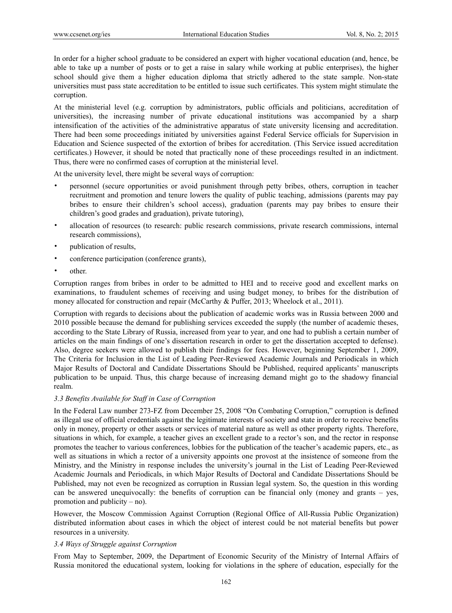In order for a higher school graduate to be considered an expert with higher vocational education (and, hence, be able to take up a number of posts or to get a raise in salary while working at public enterprises), the higher school should give them a higher education diploma that strictly adhered to the state sample. Non-state universities must pass state accreditation to be entitled to issue such certificates. This system might stimulate the corruption.

At the ministerial level (e.g. corruption by administrators, public officials and politicians, accreditation of universities), the increasing number of private educational institutions was accompanied by a sharp intensification of the activities of the administrative apparatus of state university licensing and accreditation. There had been some proceedings initiated by universities against Federal Service officials for Supervision in Education and Science suspected of the extortion of bribes for accreditation. (This Service issued accreditation certificates.) However, it should be noted that practically none of these proceedings resulted in an indictment. Thus, there were no confirmed cases of corruption at the ministerial level.

At the university level, there might be several ways of corruption:

- personnel (secure opportunities or avoid punishment through petty bribes, others, corruption in teacher recruitment and promotion and tenure lowers the quality of public teaching, admissions (parents may pay bribes to ensure their children's school access), graduation (parents may pay bribes to ensure their children's good grades and graduation), private tutoring),
- allocation of resources (to research: public research commissions, private research commissions, internal research commissions),
- publication of results,
- conference participation (conference grants),
- other.

Corruption ranges from bribes in order to be admitted to HEI and to receive good and excellent marks on examinations, to fraudulent schemes of receiving and using budget money, to bribes for the distribution of money allocated for construction and repair (McCarthy & Puffer, 2013; Wheelock et al., 2011).

Corruption with regards to decisions about the publication of academic works was in Russia between 2000 and 2010 possible because the demand for publishing services exceeded the supply (the number of academic theses, according to the State Library of Russia, increased from year to year, and one had to publish a certain number of articles on the main findings of one's dissertation research in order to get the dissertation accepted to defense). Also, degree seekers were allowed to publish their findings for fees. However, beginning September 1, 2009, The Criteria for Inclusion in the List of Leading Peer-Reviewed Academic Journals and Periodicals in which Major Results of Doctoral and Candidate Dissertations Should be Published, required applicants' manuscripts publication to be unpaid. Thus, this charge because of increasing demand might go to the shadowy financial realm.

### *3.3 Benefits Available for Staff in Case of Corruption*

In the Federal Law number 273-FZ from December 25, 2008 "On Combating Corruption," corruption is defined as illegal use of official credentials against the legitimate interests of society and state in order to receive benefits only in money, property or other assets or services of material nature as well as other property rights. Therefore, situations in which, for example, a teacher gives an excellent grade to a rector's son, and the rector in response promotes the teacher to various conferences, lobbies for the publication of the teacher's academic papers, etc., as well as situations in which a rector of a university appoints one provost at the insistence of someone from the Ministry, and the Ministry in response includes the university's journal in the List of Leading Peer-Reviewed Academic Journals and Periodicals, in which Major Results of Doctoral and Candidate Dissertations Should be Published, may not even be recognized as corruption in Russian legal system. So, the question in this wording can be answered unequivocally: the benefits of corruption can be financial only (money and grants – yes, promotion and publicity – no).

However, the Moscow Commission Against Corruption (Regional Office of All-Russia Public Organization) distributed information about cases in which the object of interest could be not material benefits but power resources in a university.

### *3.4 Ways of Struggle against Corruption*

From May to September, 2009, the Department of Economic Security of the Ministry of Internal Affairs of Russia monitored the educational system, looking for violations in the sphere of education, especially for the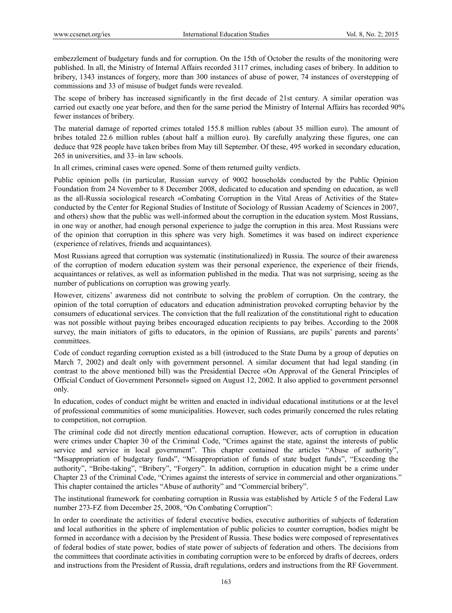embezzlement of budgetary funds and for corruption. On the 15th of October the results of the monitoring were published. In all, the Ministry of Internal Affairs recorded 3117 crimes, including cases of bribery. In addition to bribery, 1343 instances of forgery, more than 300 instances of abuse of power, 74 instances of overstepping of commissions and 33 of misuse of budget funds were revealed.

The scope of bribery has increased significantly in the first decade of 21st century. A similar operation was carried out exactly one year before, and then for the same period the Ministry of Internal Affairs has recorded 90% fewer instances of bribery.

The material damage of reported crimes totaled 155.8 million rubles (about 35 million euro). The amount of bribes totaled 22.6 million rubles (about half a million euro). By carefully analyzing these figures, one can deduce that 928 people have taken bribes from May till September. Of these, 495 worked in secondary education, 265 in universities, and 33–in law schools.

In all crimes, criminal cases were opened. Some of them returned guilty verdicts.

Public opinion polls (in particular, Russian survey of 9002 households conducted by the Public Opinion Foundation from 24 November to 8 December 2008, dedicated to education and spending on education, as well as the all-Russia sociological research «Combating Corruption in the Vital Areas of Activities of the State» conducted by the Center for Regional Studies of Institute of Sociology of Russian Academy of Sciences in 2007, and others) show that the public was well-informed about the corruption in the education system. Most Russians, in one way or another, had enough personal experience to judge the corruption in this area. Most Russians were of the opinion that corruption in this sphere was very high. Sometimes it was based on indirect experience (experience of relatives, friends and acquaintances).

Most Russians agreed that corruption was systematic (institutionalized) in Russia. The source of their awareness of the corruption of modern education system was their personal experience, the experience of their friends, acquaintances or relatives, as well as information published in the media. That was not surprising, seeing as the number of publications on corruption was growing yearly.

However, citizens' awareness did not contribute to solving the problem of corruption. On the contrary, the opinion of the total corruption of educators and education administration provoked corrupting behavior by the consumers of educational services. The conviction that the full realization of the constitutional right to education was not possible without paying bribes encouraged education recipients to pay bribes. According to the 2008 survey, the main initiators of gifts to educators, in the opinion of Russians, are pupils' parents and parents' committees.

Code of conduct regarding corruption existed as a bill (introduced to the State Duma by a group of deputies on March 7, 2002) and dealt only with government personnel. A similar document that had legal standing (in contrast to the above mentioned bill) was the Presidential Decree «On Approval of the General Principles of Official Conduct of Government Personnel» signed on August 12, 2002. It also applied to government personnel only.

In education, codes of conduct might be written and enacted in individual educational institutions or at the level of professional communities of some municipalities. However, such codes primarily concerned the rules relating to competition, not corruption.

The criminal code did not directly mention educational corruption. However, acts of corruption in education were crimes under Chapter 30 of the Criminal Code, "Crimes against the state, against the interests of public service and service in local government". This chapter contained the articles "Abuse of authority", "Misappropriation of budgetary funds", "Misappropriation of funds of state budget funds", "Exceeding the authority", "Bribe-taking", "Bribery", "Forgery". In addition, corruption in education might be a crime under Chapter 23 of the Criminal Code, "Crimes against the interests of service in commercial and other organizations." This chapter contained the articles "Abuse of authority" and "Commercial bribery".

The institutional framework for combating corruption in Russia was established by Article 5 of the Federal Law number 273-FZ from December 25, 2008, "On Combating Corruption":

In order to coordinate the activities of federal executive bodies, executive authorities of subjects of federation and local authorities in the sphere of implementation of public policies to counter corruption, bodies might be formed in accordance with a decision by the President of Russia. These bodies were composed of representatives of federal bodies of state power, bodies of state power of subjects of federation and others. The decisions from the committees that coordinate activities in combating corruption were to be enforced by drafts of decrees, orders and instructions from the President of Russia, draft regulations, orders and instructions from the RF Government.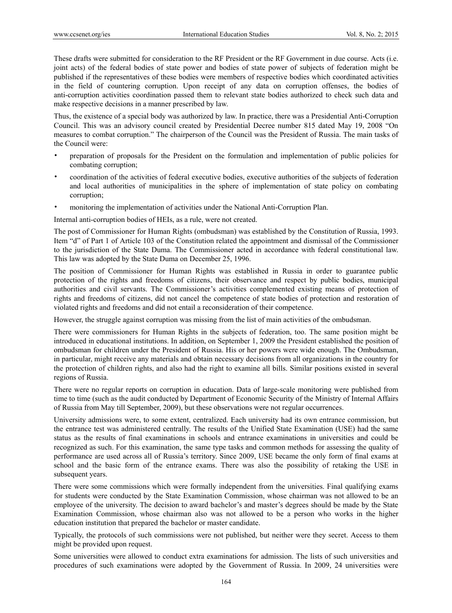These drafts were submitted for consideration to the RF President or the RF Government in due course. Acts (i.e. joint acts) of the federal bodies of state power and bodies of state power of subjects of federation might be published if the representatives of these bodies were members of respective bodies which coordinated activities in the field of countering corruption. Upon receipt of any data on corruption offenses, the bodies of anti-corruption activities coordination passed them to relevant state bodies authorized to check such data and make respective decisions in a manner prescribed by law.

Thus, the existence of a special body was authorized by law. In practice, there was a Presidential Anti-Corruption Council. This was an advisory council created by Presidential Decree number 815 dated May 19, 2008 "On measures to combat corruption." The chairperson of the Council was the President of Russia. The main tasks of the Council were:

- preparation of proposals for the President on the formulation and implementation of public policies for combating corruption;
- coordination of the activities of federal executive bodies, executive authorities of the subjects of federation and local authorities of municipalities in the sphere of implementation of state policy on combating corruption;
- monitoring the implementation of activities under the National Anti-Corruption Plan.

Internal anti-corruption bodies of HEIs, as a rule, were not created.

The post of Commissioner for Human Rights (ombudsman) was established by the Constitution of Russia, 1993. Item "d" of Part 1 of Article 103 of the Constitution related the appointment and dismissal of the Commissioner to the jurisdiction of the State Duma. The Commissioner acted in accordance with federal constitutional law. This law was adopted by the State Duma on December 25, 1996.

The position of Commissioner for Human Rights was established in Russia in order to guarantee public protection of the rights and freedoms of citizens, their observance and respect by public bodies, municipal authorities and civil servants. The Commissioner's activities complemented existing means of protection of rights and freedoms of citizens, did not cancel the competence of state bodies of protection and restoration of violated rights and freedoms and did not entail a reconsideration of their competence.

However, the struggle against corruption was missing from the list of main activities of the ombudsman.

There were commissioners for Human Rights in the subjects of federation, too. The same position might be introduced in educational institutions. In addition, on September 1, 2009 the President established the position of ombudsman for children under the President of Russia. His or her powers were wide enough. The Ombudsman, in particular, might receive any materials and obtain necessary decisions from all organizations in the country for the protection of children rights, and also had the right to examine all bills. Similar positions existed in several regions of Russia.

There were no regular reports on corruption in education. Data of large-scale monitoring were published from time to time (such as the audit conducted by Department of Economic Security of the Ministry of Internal Affairs of Russia from May till September, 2009), but these observations were not regular occurrences.

University admissions were, to some extent, centralized. Each university had its own entrance commission, but the entrance test was administered centrally. The results of the Unified State Examination (USE) had the same status as the results of final examinations in schools and entrance examinations in universities and could be recognized as such. For this examination, the same type tasks and common methods for assessing the quality of performance are used across all of Russia's territory. Since 2009, USE became the only form of final exams at school and the basic form of the entrance exams. There was also the possibility of retaking the USE in subsequent years.

There were some commissions which were formally independent from the universities. Final qualifying exams for students were conducted by the State Examination Commission, whose chairman was not allowed to be an employee of the university. The decision to award bachelor's and master's degrees should be made by the State Examination Commission, whose chairman also was not allowed to be a person who works in the higher education institution that prepared the bachelor or master candidate.

Typically, the protocols of such commissions were not published, but neither were they secret. Access to them might be provided upon request.

Some universities were allowed to conduct extra examinations for admission. The lists of such universities and procedures of such examinations were adopted by the Government of Russia. In 2009, 24 universities were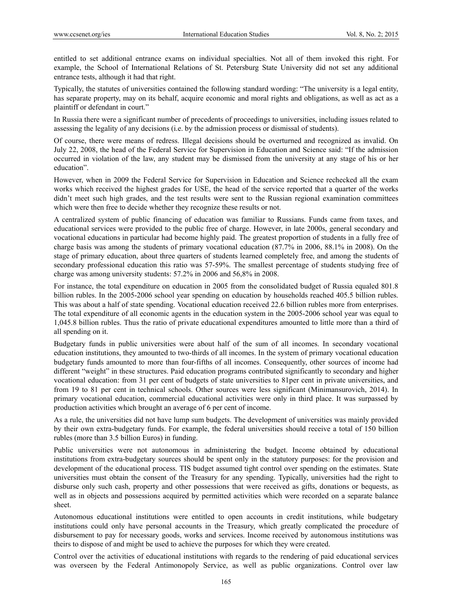entitled to set additional entrance exams on individual specialties. Not all of them invoked this right. For example, the School of International Relations of St. Petersburg State University did not set any additional entrance tests, although it had that right.

Typically, the statutes of universities contained the following standard wording: "The university is a legal entity, has separate property, may on its behalf, acquire economic and moral rights and obligations, as well as act as a plaintiff or defendant in court."

In Russia there were a significant number of precedents of proceedings to universities, including issues related to assessing the legality of any decisions (i.e. by the admission process or dismissal of students).

Of course, there were means of redress. Illegal decisions should be overturned and recognized as invalid. On July 22, 2008, the head of the Federal Service for Supervision in Education and Science said: "If the admission occurred in violation of the law, any student may be dismissed from the university at any stage of his or her education".

However, when in 2009 the Federal Service for Supervision in Education and Science rechecked all the exam works which received the highest grades for USE, the head of the service reported that a quarter of the works didn't meet such high grades, and the test results were sent to the Russian regional examination committees which were then free to decide whether they recognize these results or not.

A centralized system of public financing of education was familiar to Russians. Funds came from taxes, and educational services were provided to the public free of charge. However, in late 2000s, general secondary and vocational educations in particular had become highly paid. The greatest proportion of students in a fully free of charge basis was among the students of primary vocational education (87.7% in 2006, 88.1% in 2008). On the stage of primary education, about three quarters of students learned completely free, and among the students of secondary professional education this ratio was 57-59%. The smallest percentage of students studying free of charge was among university students: 57.2% in 2006 and 56,8% in 2008.

For instance, the total expenditure on education in 2005 from the consolidated budget of Russia equaled 801.8 billion rubles. In the 2005-2006 school year spending on education by households reached 405.5 billion rubles. This was about a half of state spending. Vocational education received 22.6 billion rubles more from enterprises. The total expenditure of all economic agents in the education system in the 2005-2006 school year was equal to 1,045.8 billion rubles. Thus the ratio of private educational expenditures amounted to little more than a third of all spending on it.

Budgetary funds in public universities were about half of the sum of all incomes. In secondary vocational education institutions, they amounted to two-thirds of all incomes. In the system of primary vocational education budgetary funds amounted to more than four-fifths of all incomes. Consequently, other sources of income had different "weight" in these structures. Paid education programs contributed significantly to secondary and higher vocational education: from 31 per cent of budgets of state universities to 81per cent in private universities, and from 19 to 81 per cent in technical schools. Other sources were less significant (Minimansurovich, 2014). In primary vocational education, commercial educational activities were only in third place. It was surpassed by production activities which brought an average of 6 per cent of income.

As a rule, the universities did not have lump sum budgets. The development of universities was mainly provided by their own extra-budgetary funds. For example, the federal universities should receive a total of 150 billion rubles (more than 3.5 billion Euros) in funding.

Public universities were not autonomous in administering the budget. Income obtained by educational institutions from extra-budgetary sources should be spent only in the statutory purposes: for the provision and development of the educational process. TIS budget assumed tight control over spending on the estimates. State universities must obtain the consent of the Treasury for any spending. Typically, universities had the right to disburse only such cash, property and other possessions that were received as gifts, donations or bequests, as well as in objects and possessions acquired by permitted activities which were recorded on a separate balance sheet.

Autonomous educational institutions were entitled to open accounts in credit institutions, while budgetary institutions could only have personal accounts in the Treasury, which greatly complicated the procedure of disbursement to pay for necessary goods, works and services. Income received by autonomous institutions was theirs to dispose of and might be used to achieve the purposes for which they were created.

Control over the activities of educational institutions with regards to the rendering of paid educational services was overseen by the Federal Antimonopoly Service, as well as public organizations. Control over law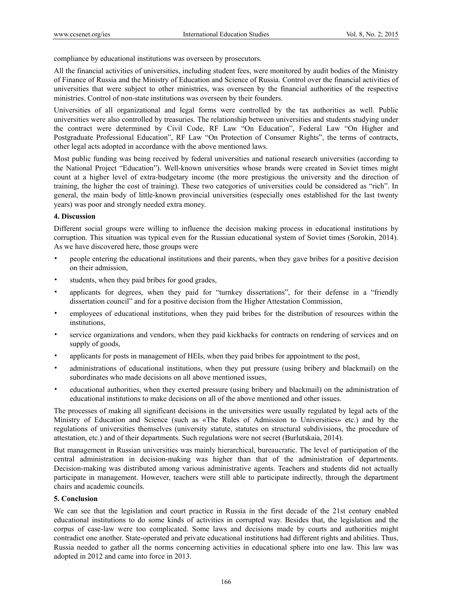compliance by educational institutions was overseen by prosecutors.

All the financial activities of universities, including student fees, were monitored by audit bodies of the Ministry of Finance of Russia and the Ministry of Education and Science of Russia. Control over the financial activities of universities that were subject to other ministries, was overseen by the financial authorities of the respective ministries. Control of non-state institutions was overseen by their founders.

Universities of all organizational and legal forms were controlled by the tax authorities as well. Public universities were also controlled by treasuries. The relationship between universities and students studying under the contract were determined by Civil Code, RF Law "On Education", Federal Law "On Higher and Postgraduate Professional Education", RF Law "On Protection of Consumer Rights", the terms of contracts, other legal acts adopted in accordance with the above mentioned laws.

Most public funding was being received by federal universities and national research universities (according to the National Project "Education"). Well-known universities whose brands were created in Soviet times might count at a higher level of extra-budgetary income (the more prestigious the university and the direction of training, the higher the cost of training). These two categories of universities could be considered as "rich". In general, the main body of little-known provincial universities (especially ones established for the last twenty years) was poor and strongly needed extra money.

### **4. Discussion**

Different social groups were willing to influence the decision making process in educational institutions by corruption. This situation was typical even for the Russian educational system of Soviet times (Sorokin, 2014). As we have discovered here, those groups were

- people entering the educational institutions and their parents, when they gave bribes for a positive decision on their admission,
- students, when they paid bribes for good grades,
- applicants for degrees, when they paid for "turnkey dissertations", for their defense in a "friendly dissertation council" and for a positive decision from the Higher Attestation Commission,
- employees of educational institutions, when they paid bribes for the distribution of resources within the institutions,
- service organizations and vendors, when they paid kickbacks for contracts on rendering of services and on supply of goods,
- applicants for posts in management of HEIs, when they paid bribes for appointment to the post,
- administrations of educational institutions, when they put pressure (using bribery and blackmail) on the subordinates who made decisions on all above mentioned issues,
- educational authorities, when they exerted pressure (using bribery and blackmail) on the administration of educational institutions to make decisions on all of the above mentioned and other issues.

The processes of making all significant decisions in the universities were usually regulated by legal acts of the Ministry of Education and Science (such as «The Rules of Admission to Universities» etc.) and by the regulations of universities themselves (university statute, statutes on structural subdivisions, the procedure of attestation, etc.) and of their departments. Such regulations were not secret (Burlutskaia, 2014).

But management in Russian universities was mainly hierarchical, bureaucratic. The level of participation of the central administration in decision-making was higher than that of the administration of departments. Decision-making was distributed among various administrative agents. Teachers and students did not actually participate in management. However, teachers were still able to participate indirectly, through the department chairs and academic councils.

### **5. Conclusion**

We can see that the legislation and court practice in Russia in the first decade of the 21st century enabled educational institutions to do some kinds of activities in corrupted way. Besides that, the legislation and the corpus of case-law were too complicated. Some laws and decisions made by courts and authorities might contradict one another. State-operated and private educational institutions had different rights and abilities. Thus, Russia needed to gather all the norms concerning activities in educational sphere into one law. This law was adopted in 2012 and came into force in 2013.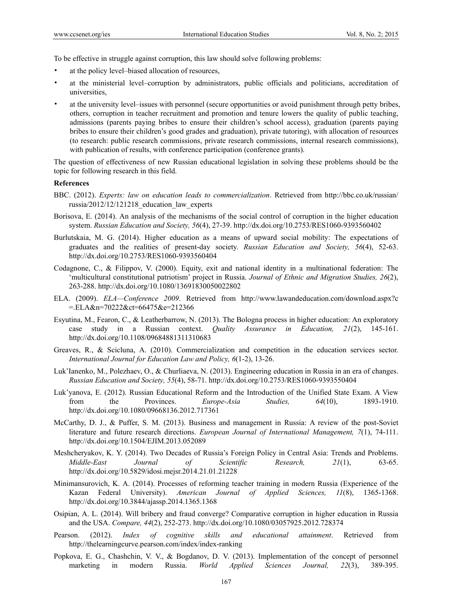To be effective in struggle against corruption, this law should solve following problems:

- at the policy level–biased allocation of resources,
- at the ministerial level–corruption by administrators, public officials and politicians, accreditation of universities,
- at the university level–issues with personnel (secure opportunities or avoid punishment through petty bribes, others, corruption in teacher recruitment and promotion and tenure lowers the quality of public teaching, admissions (parents paying bribes to ensure their children's school access), graduation (parents paying bribes to ensure their children's good grades and graduation), private tutoring), with allocation of resources (to research: public research commissions, private research commissions, internal research commissions), with publication of results, with conference participation (conference grants).

The question of effectiveness of new Russian educational legislation in solving these problems should be the topic for following research in this field.

#### **References**

- BBC. (2012). *Experts: law on education leads to commercialization*. Retrieved from http://bbc.co.uk/russian/ russia/2012/12/121218\_education\_law\_experts
- Borisova, E. (2014). An analysis of the mechanisms of the social control of corruption in the higher education system. *Russian Education and Society, 56*(4), 27-39. http://dx.doi.org/10.2753/RES1060-9393560402
- Burlutskaia, M. G. (2014). Higher education as a means of upward social mobility: The expectations of graduates and the realities of present-day society. *Russian Education and Society, 56*(4), 52-63. http://dx.doi.org/10.2753/RES1060-9393560404
- Codagnone, C., & Filippov, V. (2000). Equity, exit and national identity in a multinational federation: The 'multicultural constitutional patriotism' project in Russia. *Journal of Ethnic and Migration Studies, 26*(2), 263-288. http://dx.doi.org/10.1080/13691830050022802
- ELA. (2009). *ELA—Conference 2009*. Retrieved from http://www.lawandeducation.com/download.aspx?c =.ELA&n=70222&ct=66475&e=212366
- Esyutina, M., Fearon, C., & Leatherbarrow, N. (2013). The Bologna process in higher education: An exploratory case study in a Russian context. *Quality Assurance in Education, 21*(2), 145-161. http://dx.doi.org/10.1108/09684881311310683
- Greaves, R., & Scicluna, A. (2010). Commercialization and competition in the education services sector. *International Journal for Education Law and Policy, 6*(1-2), 13-26.
- Luk'Ianenko, M., Polezhaev, O., & Churliaeva, N. (2013). Engineering education in Russia in an era of changes. *Russian Education and Society, 55*(4), 58-71. http://dx.doi.org/10.2753/RES1060-9393550404
- Luk'yanova, E. (2012). Russian Educational Reform and the Introduction of the Unified State Exam. A View from the Provinces. *Europe-Asia Studies, 64*(10), 1893-1910. http://dx.doi.org/10.1080/09668136.2012.717361
- McCarthy, D. J., & Puffer, S. M. (2013). Business and management in Russia: A review of the post-Soviet literature and future research directions. *European Journal of International Management, 7*(1), 74-111. http://dx.doi.org/10.1504/EJIM.2013.052089
- Meshcheryakov, K. Y. (2014). Two Decades of Russia's Foreign Policy in Central Asia: Trends and Problems. *Middle-East Journal of Scientific Research, 21*(1), 63-65. http://dx.doi.org/10.5829/idosi.mejsr.2014.21.01.21228
- Minimansurovich, K. A. (2014). Processes of reforming teacher training in modern Russia (Experience of the Kazan Federal University). *American Journal of Applied Sciences, 11*(8), 1365-1368. http://dx.doi.org/10.3844/ajassp.2014.1365.1368
- Osipian, A. L. (2014). Will bribery and fraud converge? Comparative corruption in higher education in Russia and the USA. *Compare, 44*(2), 252-273. http://dx.doi.org/10.1080/03057925.2012.728374
- Pearson. (2012). *Index of cognitive skills and educational attainment*. Retrieved from http://thelearningcurve.pearson.com/index/index-ranking
- Popkova, E. G., Chashchin, V. V., & Bogdanov, D. V. (2013). Implementation of the concept of personnel marketing in modern Russia. *World Applied Sciences Journal, 22*(3), 389-395.